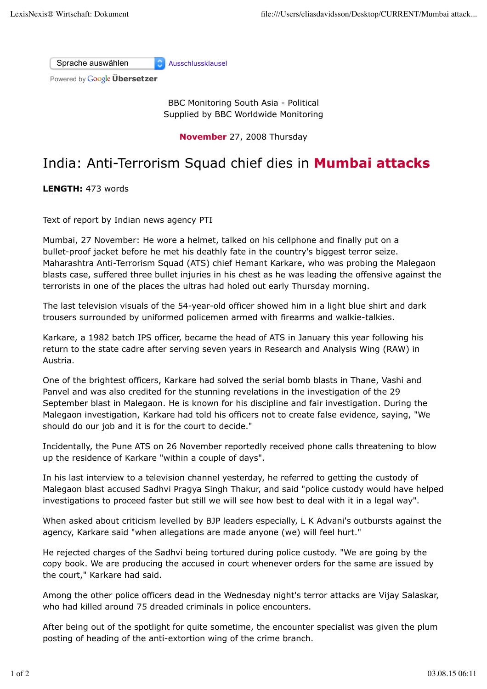Sprache auswählen Ausschlussklausel

Powered by **Google Übersetzer** 

BBC Monitoring South Asia - Political Supplied by BBC Worldwide Monitoring

**November** 27, 2008 Thursday

## India: Anti-Terrorism Squad chief dies in **Mumbai attacks**

**LENGTH:** 473 words

Text of report by Indian news agency PTI

Mumbai, 27 November: He wore a helmet, talked on his cellphone and finally put on a bullet-proof jacket before he met his deathly fate in the country's biggest terror seize. Maharashtra Anti-Terrorism Squad (ATS) chief Hemant Karkare, who was probing the Malegaon blasts case, suffered three bullet injuries in his chest as he was leading the offensive against the terrorists in one of the places the ultras had holed out early Thursday morning.

The last television visuals of the 54-year-old officer showed him in a light blue shirt and dark trousers surrounded by uniformed policemen armed with firearms and walkie-talkies.

Karkare, a 1982 batch IPS officer, became the head of ATS in January this year following his return to the state cadre after serving seven years in Research and Analysis Wing (RAW) in Austria.

One of the brightest officers, Karkare had solved the serial bomb blasts in Thane, Vashi and Panvel and was also credited for the stunning revelations in the investigation of the 29 September blast in Malegaon. He is known for his discipline and fair investigation. During the Malegaon investigation, Karkare had told his officers not to create false evidence, saying, "We should do our job and it is for the court to decide."

Incidentally, the Pune ATS on 26 November reportedly received phone calls threatening to blow up the residence of Karkare "within a couple of days".

In his last interview to a television channel yesterday, he referred to getting the custody of Malegaon blast accused Sadhvi Pragya Singh Thakur, and said "police custody would have helped investigations to proceed faster but still we will see how best to deal with it in a legal way".

When asked about criticism levelled by BJP leaders especially, L K Advani's outbursts against the agency, Karkare said "when allegations are made anyone (we) will feel hurt."

He rejected charges of the Sadhvi being tortured during police custody. "We are going by the copy book. We are producing the accused in court whenever orders for the same are issued by the court," Karkare had said.

Among the other police officers dead in the Wednesday night's terror attacks are Vijay Salaskar, who had killed around 75 dreaded criminals in police encounters.

After being out of the spotlight for quite sometime, the encounter specialist was given the plum posting of heading of the anti-extortion wing of the crime branch.